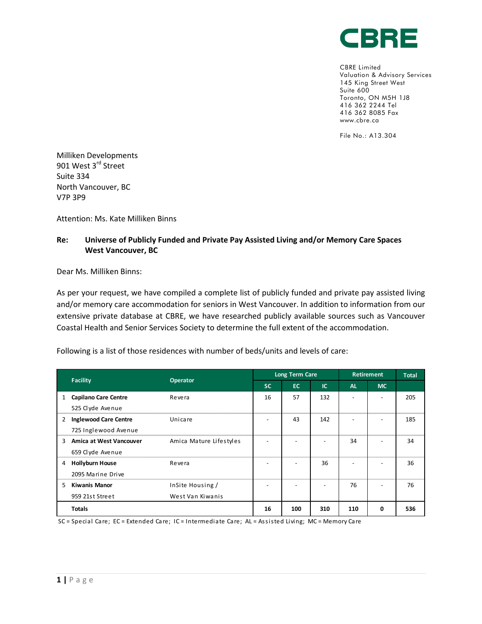

CBRE Limited Valuation & Advisory Services 145 King Street West Suite 600 Toronto, ON M5H 1J8 416 362 2244 Tel 416 362 8085 Fax www.cbre.ca

File No.: A13.304

Milliken Developments 901 West 3<sup>rd</sup> Street Suite 334 North Vancouver, BC V7P 3P9

Attention: Ms. Kate Milliken Binns

## **Re: Universe of Publicly Funded and Private Pay Assisted Living and/or Memory Care Spaces West Vancouver, BC**

Dear Ms. Milliken Binns:

As per your request, we have compiled a complete list of publicly funded and private pay assisted living and/or memory care accommodation for seniors in West Vancouver. In addition to information from our extensive private database at CBRE, we have researched publicly available sources such as Vancouver Coastal Health and Senior Services Society to determine the full extent of the accommodation.

Following is a list of those residences with number of beds/units and levels of care:

|    | <b>Facility</b><br><b>Operator</b> | <b>Long Term Care</b>   |           |                          | <b>Retirement</b>        |                          | <b>Total</b> |     |
|----|------------------------------------|-------------------------|-----------|--------------------------|--------------------------|--------------------------|--------------|-----|
|    |                                    |                         | <b>SC</b> | EC.                      | <b>IC</b>                | <b>AL</b>                | <b>MC</b>    |     |
| 1  | <b>Capilano Care Centre</b>        | Revera                  | 16        | 57                       | 132                      |                          |              | 205 |
|    | 525 Clyde Avenue                   |                         |           |                          |                          |                          |              |     |
| 2  | <b>Inglewood Care Centre</b>       | Unicare                 |           | 43                       | 142                      | $\overline{\phantom{a}}$ |              | 185 |
|    | 725 Inglewood Avenue               |                         |           |                          |                          |                          |              |     |
| 3  | Amica at West Vancouver            | Amica Mature Lifestyles |           | $\overline{\phantom{0}}$ | $\overline{\phantom{a}}$ | 34                       |              | 34  |
|    | 659 Clyde Avenue                   |                         |           |                          |                          |                          |              |     |
| 4  | <b>Hollyburn House</b>             | Revera                  |           |                          | 36                       |                          |              | 36  |
|    | 2095 Marine Drive                  |                         |           |                          |                          |                          |              |     |
| 5. | <b>Kiwanis Manor</b>               | InSite Housing /        |           |                          | $\overline{\phantom{a}}$ | 76                       |              | 76  |
|    | 959 21st Street                    | West Van Kiwanis        |           |                          |                          |                          |              |     |
|    | <b>Totals</b>                      |                         | 16        | 100                      | 310                      | 110                      | 0            | 536 |

SC = Special Care; EC = Extended Care; IC = Intermediate Care; AL = Assi sted Living; MC = Memory Care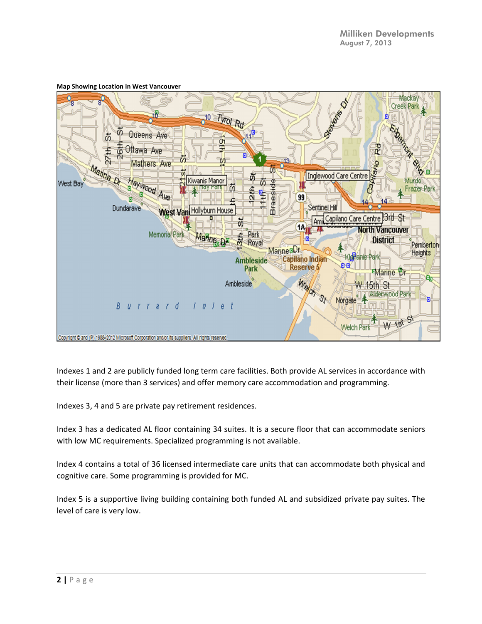

## **Map Showing Location in West Vancouver**

Indexes 1 and 2 are publicly funded long term care facilities. Both provide AL services in accordance with their license (more than 3 services) and offer memory care accommodation and programming.

Indexes 3, 4 and 5 are private pay retirement residences.

Index 3 has a dedicated AL floor containing 34 suites. It is a secure floor that can accommodate seniors with low MC requirements. Specialized programming is not available.

Index 4 contains a total of 36 licensed intermediate care units that can accommodate both physical and cognitive care. Some programming is provided for MC.

Index 5 is a supportive living building containing both funded AL and subsidized private pay suites. The level of care is very low.